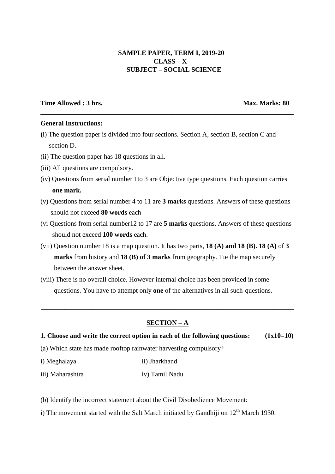# **SAMPLE PAPER, TERM I, 2019-20 CLASS – X SUBJECT – SOCIAL SCIENCE**

## **Time Allowed : 3 hrs. Max. Marks: 80**

### **General Instructions:**

**(**i) The question paper is divided into four sections. Section A, section B, section C and section D.

**\_\_\_\_\_\_\_\_\_\_\_\_\_\_\_\_\_\_\_\_\_\_\_\_\_\_\_\_\_\_\_\_\_\_\_\_\_\_\_\_\_\_\_\_\_\_\_\_\_\_\_\_\_\_\_\_\_\_\_\_\_\_\_\_\_\_\_\_\_\_\_\_\_\_\_**

- (ii) The question paper has 18 questions in all.
- (iii) All questions are compulsory.
- (iv) Questions from serial number 1to 3 are Objective type questions. Each question carries  **one mark.**
- (v) Questions from serial number 4 to 11 are **3 marks** questions. Answers of these questions should not exceed **80 words** each
- (vi Questions from serial number12 to 17 are **5 marks** questions. Answers of these questions should not exceed **100 words** each.
- (vii) Question number 18 is a map question. It has two parts, **18 (A) and 18 (B). 18 (A)** of **3 marks** from history and **18 (B) of 3 marks** from geography. Tie the map securely between the answer sheet.
- (viii) There is no overall choice. However internal choice has been provided in some questions. You have to attempt only **one** of the alternatives in all such-questions.

## **SECTION – A**

\_\_\_\_\_\_\_\_\_\_\_\_\_\_\_\_\_\_\_\_\_\_\_\_\_\_\_\_\_\_\_\_\_\_\_\_\_\_\_\_\_\_\_\_\_\_\_\_\_\_\_\_\_\_\_\_\_\_\_\_\_\_\_\_\_\_\_\_\_\_\_\_\_\_\_

### **1. Choose and write the correct option in each of the following questions: (1x10=10)**

- (a) Which state has made rooftop rainwater harvesting compulsory?
- i) Meghalaya ii) Jharkhand
- iii) Maharashtra iv) Tamil Nadu

(b) Identify the incorrect statement about the Civil Disobedience Movement:

i) The movement started with the Salt March initiated by Gandhiji on  $12<sup>th</sup>$  March 1930.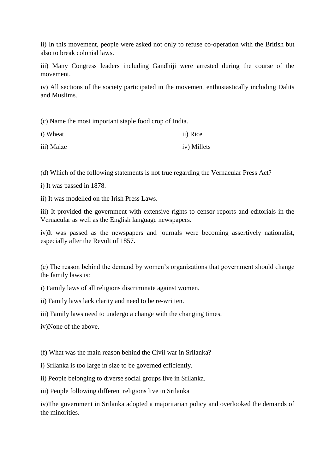ii) In this movement, people were asked not only to refuse co-operation with the British but also to break colonial laws.

iii) Many Congress leaders including Gandhiji were arrested during the course of the movement.

iv) All sections of the society participated in the movement enthusiastically including Dalits and Muslims.

(c) Name the most important staple food crop of India.

| i) Wheat   | ii) Rice    |
|------------|-------------|
| iii) Maize | iv) Millets |

(d) Which of the following statements is not true regarding the Vernacular Press Act?

i) It was passed in 1878.

ii) It was modelled on the Irish Press Laws.

iii) It provided the government with extensive rights to censor reports and editorials in the Vernacular as well as the English language newspapers.

iv)It was passed as the newspapers and journals were becoming assertively nationalist, especially after the Revolt of 1857.

(e) The reason behind the demand by women's organizations that government should change the family laws is:

i) Family laws of all religions discriminate against women.

ii) Family laws lack clarity and need to be re-written.

iii) Family laws need to undergo a change with the changing times.

iv)None of the above.

(f) What was the main reason behind the Civil war in Srilanka?

i) Srilanka is too large in size to be governed efficiently.

ii) People belonging to diverse social groups live in Srilanka.

iii) People following different religions live in Srilanka

iv)The government in Srilanka adopted a majoritarian policy and overlooked the demands of the minorities.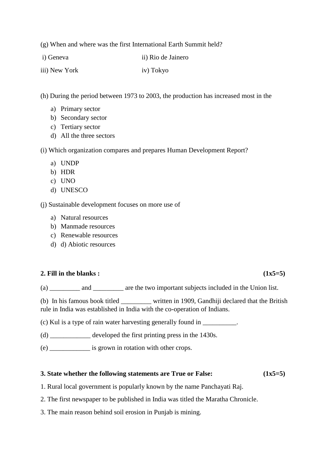(g) When and where was the first International Earth Summit held?

i) Geneva ii) Rio de Jainero

iii) New York iv) Tokyo

(h) During the period between 1973 to 2003, the production has increased most in the

- a) Primary sector
- b) Secondary sector
- c) Tertiary sector
- d) All the three sectors

(i) Which organization compares and prepares Human Development Report?

- a) UNDP
- b) HDR
- c) UNO
- d) UNESCO

(j) Sustainable development focuses on more use of

- a) Natural resources
- b) Manmade resources
- c) Renewable resources
- d) d) Abiotic resources

## **2. Fill in the blanks :**  $(1x5=5)$

(a) \_\_\_\_\_\_\_\_\_ and \_\_\_\_\_\_\_\_\_ are the two important subjects included in the Union list.

(b) In his famous book titled \_\_\_\_\_\_\_\_\_ written in 1909, Gandhiji declared that the British rule in India was established in India with the co-operation of Indians.

(c) Kul is a type of rain water harvesting generally found in \_\_\_\_\_\_\_\_\_\_.

(d) \_\_\_\_\_\_\_\_\_\_\_\_ developed the first printing press in the 1430s.

(e) \_\_\_\_\_\_\_\_\_\_\_\_ is grown in rotation with other crops.

## **3. State whether the following statements are True or False: (1x5=5)**

- 1. Rural local government is popularly known by the name Panchayati Raj.
- 2. The first newspaper to be published in India was titled the Maratha Chronicle.
- 3. The main reason behind soil erosion in Punjab is mining.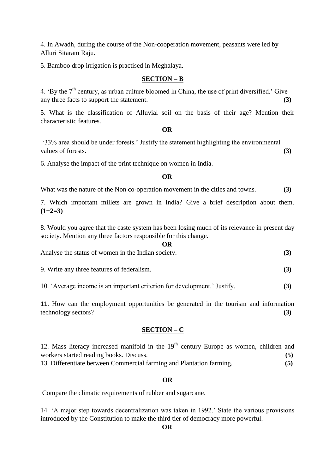4. In Awadh, during the course of the Non-cooperation movement, peasants were led by Alluri Sitaram Raju.

5. Bamboo drop irrigation is practised in Meghalaya.

## **SECTION – B**

4. 'By the  $7<sup>th</sup>$  century, as urban culture bloomed in China, the use of print diversified.' Give any three facts to support the statement. **(3)**

5. What is the classification of Alluvial soil on the basis of their age? Mention their characteristic features.

#### **OR**

'33% area should be under forests.' Justify the statement highlighting the environmental values of forests. **(3)**

6. Analyse the impact of the print technique on women in India.

### **OR**

What was the nature of the Non co-operation movement in the cities and towns. **(3)**

7. Which important millets are grown in India? Give a brief description about them. **(1+2=3)**

8. Would you agree that the caste system has been losing much of its relevance in present day society. Mention any three factors responsible for this change.

| OR                                                 |  |
|----------------------------------------------------|--|
| Analyse the status of women in the Indian society. |  |

9. Write any three features of federalism. **(3)**

10. 'Average income is an important criterion for development.' Justify. **(3)**

11. How can the employment opportunities be generated in the tourism and information technology sectors? **(3)**

### **SECTION – C**

12. Mass literacy increased manifold in the  $19<sup>th</sup>$  century Europe as women, children and workers started reading books. Discuss. **(5)** 13. Differentiate between Commercial farming and Plantation farming. **(5)**

### **OR**

Compare the climatic requirements of rubber and sugarcane.

14. 'A major step towards decentralization was taken in 1992.' State the various provisions introduced by the Constitution to make the third tier of democracy more powerful.

**OR**